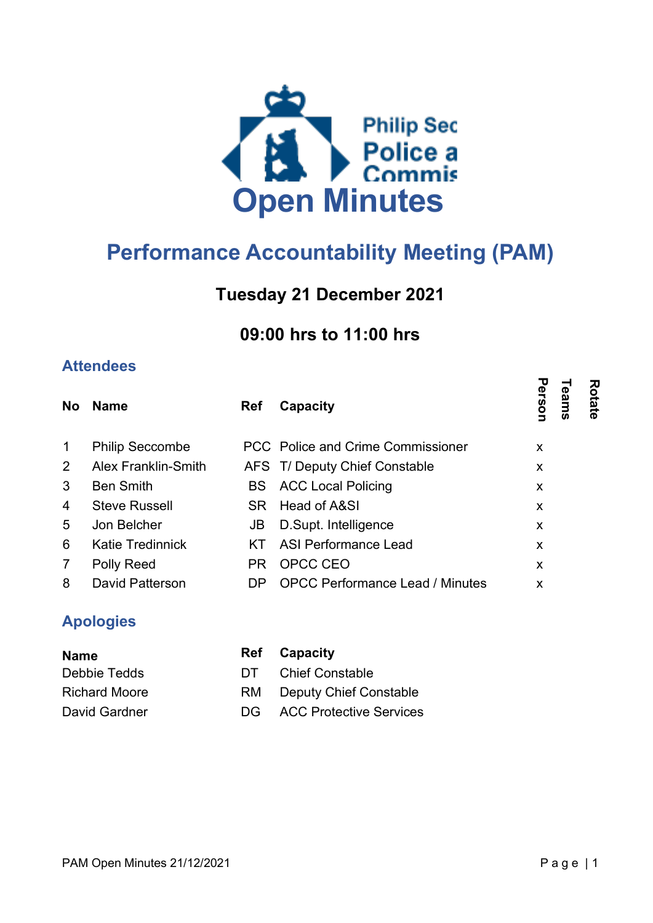

# Performance Accountability Meeting (PAM)

## Tuesday 21 December 2021

## 09:00 hrs to 11:00 hrs

## **Attendees**

| <b>No</b>      | <b>Name</b>                | <b>Ref</b> | Capacity                               | Person<br>Rotate<br>eams |  |
|----------------|----------------------------|------------|----------------------------------------|--------------------------|--|
| $\mathbf{1}$   | <b>Philip Seccombe</b>     |            | PCC Police and Crime Commissioner      | X                        |  |
| $\overline{2}$ | <b>Alex Franklin-Smith</b> |            | AFS T/ Deputy Chief Constable          | X                        |  |
| 3              | <b>Ben Smith</b>           |            | <b>BS</b> ACC Local Policing           | X                        |  |
| 4              | <b>Steve Russell</b>       |            | SR Head of A&SI                        | X                        |  |
| 5              | Jon Belcher                | JB         | D.Supt. Intelligence                   | X                        |  |
| 6              | <b>Katie Tredinnick</b>    | KT.        | <b>ASI Performance Lead</b>            | X                        |  |
| $\overline{7}$ | Polly Reed                 | PR.        | OPCC CEO                               | X                        |  |
| 8              | David Patterson            | DP         | <b>OPCC Performance Lead / Minutes</b> | x                        |  |

## Apologies

| Ref Capacity                      |
|-----------------------------------|
| DT Chief Constable                |
| <b>RM</b> Deputy Chief Constable  |
| <b>DG</b> ACC Protective Services |
|                                   |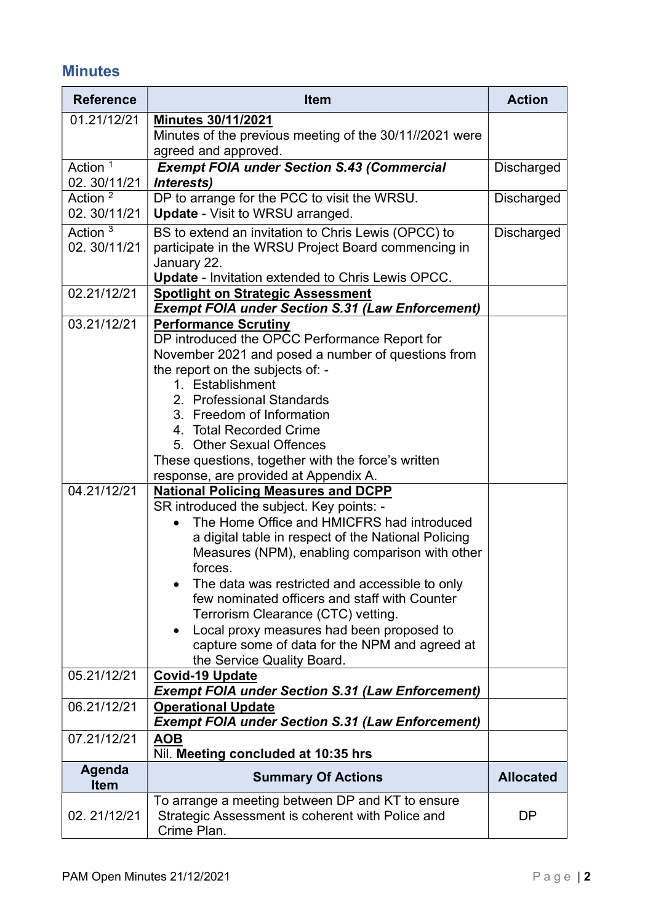## **Minutes**

| <b>Reference</b>                   | <b>Item</b>                                                                                                                                                                                                                                                                                                                                                                                                                                                                                                                                                                                                                                                                                                                                                                                                                                                                                                                                  | <b>Action</b>     |
|------------------------------------|----------------------------------------------------------------------------------------------------------------------------------------------------------------------------------------------------------------------------------------------------------------------------------------------------------------------------------------------------------------------------------------------------------------------------------------------------------------------------------------------------------------------------------------------------------------------------------------------------------------------------------------------------------------------------------------------------------------------------------------------------------------------------------------------------------------------------------------------------------------------------------------------------------------------------------------------|-------------------|
| 01.21/12/21                        | <b>Minutes 30/11/2021</b><br>Minutes of the previous meeting of the 30/11//2021 were<br>agreed and approved.                                                                                                                                                                                                                                                                                                                                                                                                                                                                                                                                                                                                                                                                                                                                                                                                                                 |                   |
| Action <sup>1</sup><br>02.30/11/21 | <b>Exempt FOIA under Section S.43 (Commercial</b><br>Interests)                                                                                                                                                                                                                                                                                                                                                                                                                                                                                                                                                                                                                                                                                                                                                                                                                                                                              | <b>Discharged</b> |
| Action <sup>2</sup><br>02.30/11/21 | DP to arrange for the PCC to visit the WRSU.<br><b>Update - Visit to WRSU arranged.</b>                                                                                                                                                                                                                                                                                                                                                                                                                                                                                                                                                                                                                                                                                                                                                                                                                                                      | Discharged        |
| Action $3$<br>02.30/11/21          | BS to extend an invitation to Chris Lewis (OPCC) to<br>participate in the WRSU Project Board commencing in<br>January 22.<br><b>Update - Invitation extended to Chris Lewis OPCC.</b>                                                                                                                                                                                                                                                                                                                                                                                                                                                                                                                                                                                                                                                                                                                                                        | <b>Discharged</b> |
| 02.21/12/21                        | <b>Spotlight on Strategic Assessment</b><br><b>Exempt FOIA under Section S.31 (Law Enforcement)</b>                                                                                                                                                                                                                                                                                                                                                                                                                                                                                                                                                                                                                                                                                                                                                                                                                                          |                   |
| 03.21/12/21<br>04.21/12/21         | <b>Performance Scrutiny</b><br>DP introduced the OPCC Performance Report for<br>November 2021 and posed a number of questions from<br>the report on the subjects of: -<br>1. Establishment<br>2. Professional Standards<br>3. Freedom of Information<br>4. Total Recorded Crime<br>5. Other Sexual Offences<br>These questions, together with the force's written<br>response, are provided at Appendix A.<br><b>National Policing Measures and DCPP</b><br>SR introduced the subject. Key points: -<br>The Home Office and HMICFRS had introduced<br>a digital table in respect of the National Policing<br>Measures (NPM), enabling comparison with other<br>forces.<br>The data was restricted and accessible to only<br>few nominated officers and staff with Counter<br>Terrorism Clearance (CTC) vetting.<br>Local proxy measures had been proposed to<br>capture some of data for the NPM and agreed at<br>the Service Quality Board. |                   |
| 05.21/12/21                        | <b>Covid-19 Update</b><br><b>Exempt FOIA under Section S.31 (Law Enforcement)</b>                                                                                                                                                                                                                                                                                                                                                                                                                                                                                                                                                                                                                                                                                                                                                                                                                                                            |                   |
| 06.21/12/21                        | <b>Operational Update</b><br><b>Exempt FOIA under Section S.31 (Law Enforcement)</b>                                                                                                                                                                                                                                                                                                                                                                                                                                                                                                                                                                                                                                                                                                                                                                                                                                                         |                   |
| 07.21/12/21                        | <u>AOB</u><br>Nil. Meeting concluded at 10:35 hrs                                                                                                                                                                                                                                                                                                                                                                                                                                                                                                                                                                                                                                                                                                                                                                                                                                                                                            |                   |
| Agenda<br><b>Item</b>              | <b>Summary Of Actions</b>                                                                                                                                                                                                                                                                                                                                                                                                                                                                                                                                                                                                                                                                                                                                                                                                                                                                                                                    | <b>Allocated</b>  |
| 02.21/12/21                        | To arrange a meeting between DP and KT to ensure<br>Strategic Assessment is coherent with Police and<br>Crime Plan.                                                                                                                                                                                                                                                                                                                                                                                                                                                                                                                                                                                                                                                                                                                                                                                                                          | DP                |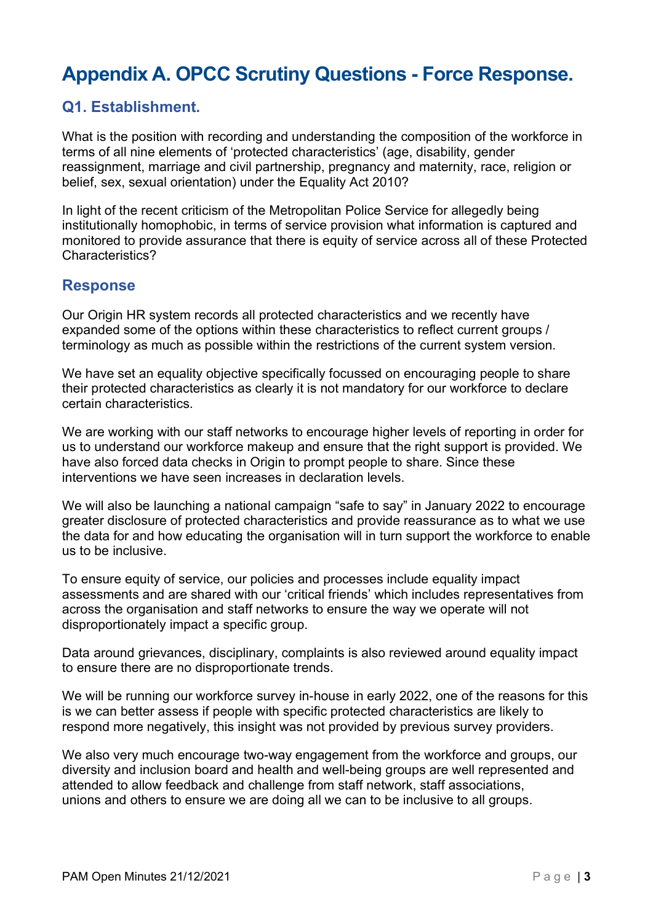# Appendix A. OPCC Scrutiny Questions - Force Response.

## Q1. Establishment.

What is the position with recording and understanding the composition of the workforce in terms of all nine elements of 'protected characteristics' (age, disability, gender reassignment, marriage and civil partnership, pregnancy and maternity, race, religion or belief, sex, sexual orientation) under the Equality Act 2010?

In light of the recent criticism of the Metropolitan Police Service for allegedly being institutionally homophobic, in terms of service provision what information is captured and monitored to provide assurance that there is equity of service across all of these Protected Characteristics?

#### Response

Our Origin HR system records all protected characteristics and we recently have expanded some of the options within these characteristics to reflect current groups / terminology as much as possible within the restrictions of the current system version.

We have set an equality objective specifically focussed on encouraging people to share their protected characteristics as clearly it is not mandatory for our workforce to declare certain characteristics.

We are working with our staff networks to encourage higher levels of reporting in order for us to understand our workforce makeup and ensure that the right support is provided. We have also forced data checks in Origin to prompt people to share. Since these interventions we have seen increases in declaration levels.

We will also be launching a national campaign "safe to say" in January 2022 to encourage greater disclosure of protected characteristics and provide reassurance as to what we use the data for and how educating the organisation will in turn support the workforce to enable us to be inclusive.

To ensure equity of service, our policies and processes include equality impact assessments and are shared with our 'critical friends' which includes representatives from across the organisation and staff networks to ensure the way we operate will not disproportionately impact a specific group.

Data around grievances, disciplinary, complaints is also reviewed around equality impact to ensure there are no disproportionate trends.

We will be running our workforce survey in-house in early 2022, one of the reasons for this is we can better assess if people with specific protected characteristics are likely to respond more negatively, this insight was not provided by previous survey providers.

We also very much encourage two-way engagement from the workforce and groups, our diversity and inclusion board and health and well-being groups are well represented and attended to allow feedback and challenge from staff network, staff associations, unions and others to ensure we are doing all we can to be inclusive to all groups.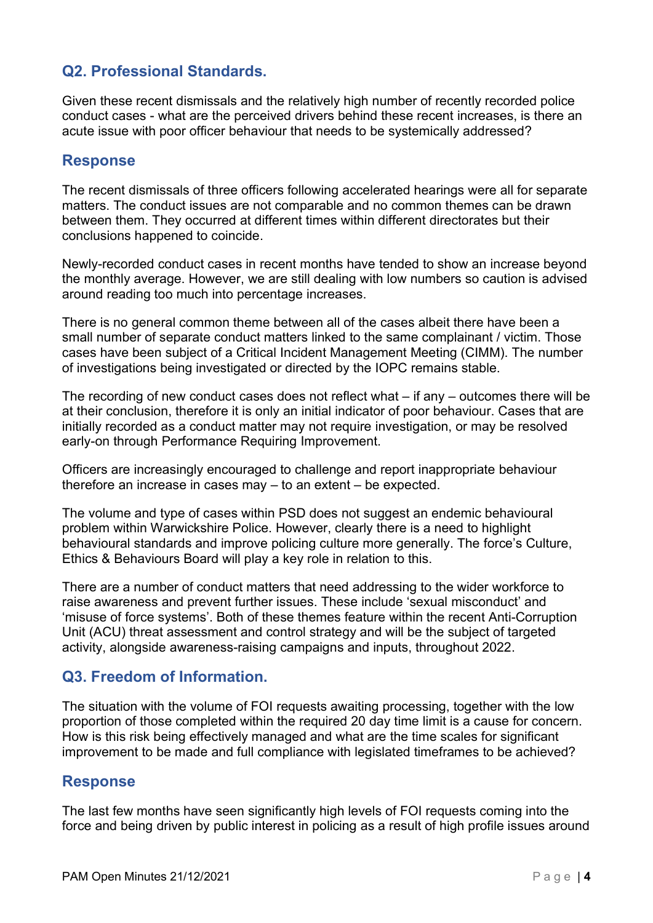## Q2. Professional Standards.

Given these recent dismissals and the relatively high number of recently recorded police conduct cases - what are the perceived drivers behind these recent increases, is there an acute issue with poor officer behaviour that needs to be systemically addressed?

#### Response

The recent dismissals of three officers following accelerated hearings were all for separate matters. The conduct issues are not comparable and no common themes can be drawn between them. They occurred at different times within different directorates but their conclusions happened to coincide.

Newly-recorded conduct cases in recent months have tended to show an increase beyond the monthly average. However, we are still dealing with low numbers so caution is advised around reading too much into percentage increases.

There is no general common theme between all of the cases albeit there have been a small number of separate conduct matters linked to the same complainant / victim. Those cases have been subject of a Critical Incident Management Meeting (CIMM). The number of investigations being investigated or directed by the IOPC remains stable.

The recording of new conduct cases does not reflect what – if any – outcomes there will be at their conclusion, therefore it is only an initial indicator of poor behaviour. Cases that are initially recorded as a conduct matter may not require investigation, or may be resolved early-on through Performance Requiring Improvement.

Officers are increasingly encouraged to challenge and report inappropriate behaviour therefore an increase in cases may – to an extent – be expected.

The volume and type of cases within PSD does not suggest an endemic behavioural problem within Warwickshire Police. However, clearly there is a need to highlight behavioural standards and improve policing culture more generally. The force's Culture, Ethics & Behaviours Board will play a key role in relation to this.

There are a number of conduct matters that need addressing to the wider workforce to raise awareness and prevent further issues. These include 'sexual misconduct' and 'misuse of force systems'. Both of these themes feature within the recent Anti-Corruption Unit (ACU) threat assessment and control strategy and will be the subject of targeted activity, alongside awareness-raising campaigns and inputs, throughout 2022.

## Q3. Freedom of Information.

The situation with the volume of FOI requests awaiting processing, together with the low proportion of those completed within the required 20 day time limit is a cause for concern. How is this risk being effectively managed and what are the time scales for significant improvement to be made and full compliance with legislated timeframes to be achieved?

### Response

The last few months have seen significantly high levels of FOI requests coming into the force and being driven by public interest in policing as a result of high profile issues around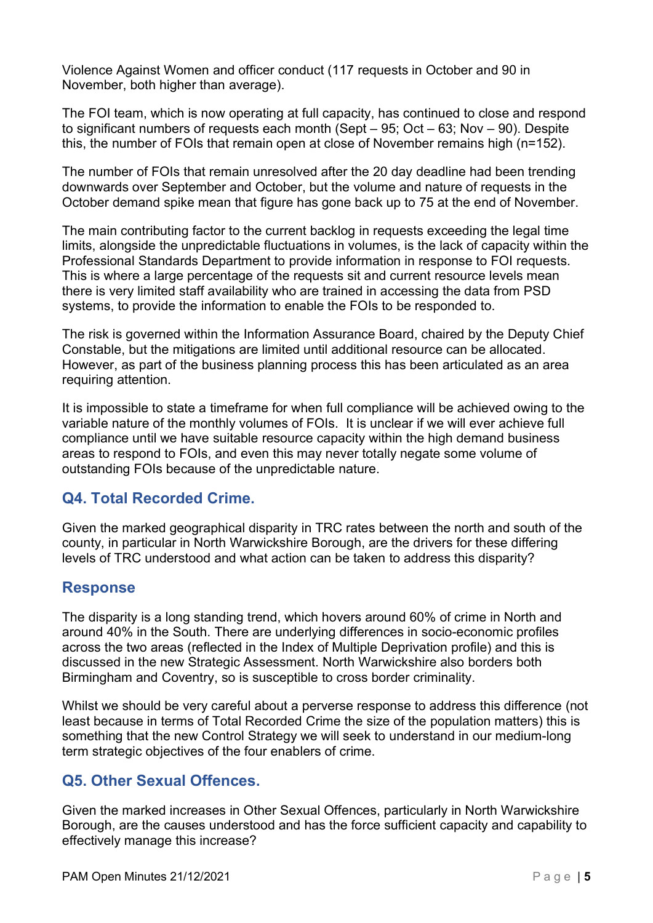Violence Against Women and officer conduct (117 requests in October and 90 in November, both higher than average).

The FOI team, which is now operating at full capacity, has continued to close and respond to significant numbers of requests each month (Sept – 95; Oct – 63; Nov – 90). Despite this, the number of FOIs that remain open at close of November remains high (n=152).

The number of FOIs that remain unresolved after the 20 day deadline had been trending downwards over September and October, but the volume and nature of requests in the October demand spike mean that figure has gone back up to 75 at the end of November.

The main contributing factor to the current backlog in requests exceeding the legal time limits, alongside the unpredictable fluctuations in volumes, is the lack of capacity within the Professional Standards Department to provide information in response to FOI requests. This is where a large percentage of the requests sit and current resource levels mean there is very limited staff availability who are trained in accessing the data from PSD systems, to provide the information to enable the FOIs to be responded to.

The risk is governed within the Information Assurance Board, chaired by the Deputy Chief Constable, but the mitigations are limited until additional resource can be allocated. However, as part of the business planning process this has been articulated as an area requiring attention.

It is impossible to state a timeframe for when full compliance will be achieved owing to the variable nature of the monthly volumes of FOIs. It is unclear if we will ever achieve full compliance until we have suitable resource capacity within the high demand business areas to respond to FOIs, and even this may never totally negate some volume of outstanding FOIs because of the unpredictable nature.

### Q4. Total Recorded Crime.

Given the marked geographical disparity in TRC rates between the north and south of the county, in particular in North Warwickshire Borough, are the drivers for these differing levels of TRC understood and what action can be taken to address this disparity?

### Response

The disparity is a long standing trend, which hovers around 60% of crime in North and around 40% in the South. There are underlying differences in socio-economic profiles across the two areas (reflected in the Index of Multiple Deprivation profile) and this is discussed in the new Strategic Assessment. North Warwickshire also borders both Birmingham and Coventry, so is susceptible to cross border criminality.

Whilst we should be very careful about a perverse response to address this difference (not least because in terms of Total Recorded Crime the size of the population matters) this is something that the new Control Strategy we will seek to understand in our medium-long term strategic objectives of the four enablers of crime.

### Q5. Other Sexual Offences.

Given the marked increases in Other Sexual Offences, particularly in North Warwickshire Borough, are the causes understood and has the force sufficient capacity and capability to effectively manage this increase?